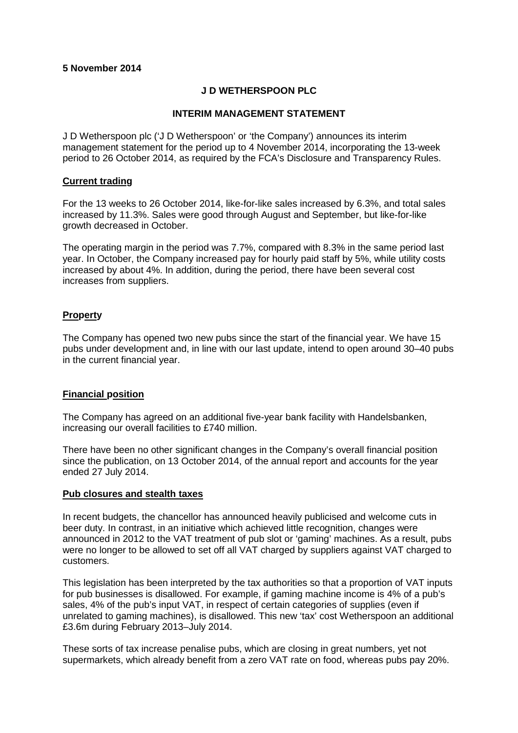# **5 November 2014**

## **J D WETHERSPOON PLC**

### **INTERIM MANAGEMENT STATEMENT**

J D Wetherspoon plc ('J D Wetherspoon' or 'the Company') announces its interim management statement for the period up to 4 November 2014, incorporating the 13-week period to 26 October 2014, as required by the FCA's Disclosure and Transparency Rules.

### **Current trading**

For the 13 weeks to 26 October 2014, like-for-like sales increased by 6.3%, and total sales increased by 11.3%. Sales were good through August and September, but like-for-like growth decreased in October.

The operating margin in the period was 7.7%, compared with 8.3% in the same period last year. In October, the Company increased pay for hourly paid staff by 5%, while utility costs increased by about 4%. In addition, during the period, there have been several cost increases from suppliers.

# **Property**

The Company has opened two new pubs since the start of the financial year. We have 15 pubs under development and, in line with our last update, intend to open around 30–40 pubs in the current financial year.

#### **Financial position**

The Company has agreed on an additional five-year bank facility with Handelsbanken, increasing our overall facilities to £740 million.

There have been no other significant changes in the Company's overall financial position since the publication, on 13 October 2014, of the annual report and accounts for the year ended 27 July 2014.

#### **Pub closures and stealth taxes**

In recent budgets, the chancellor has announced heavily publicised and welcome cuts in beer duty. In contrast, in an initiative which achieved little recognition, changes were announced in 2012 to the VAT treatment of pub slot or 'gaming' machines. As a result, pubs were no longer to be allowed to set off all VAT charged by suppliers against VAT charged to customers.

This legislation has been interpreted by the tax authorities so that a proportion of VAT inputs for pub businesses is disallowed. For example, if gaming machine income is 4% of a pub's sales, 4% of the pub's input VAT, in respect of certain categories of supplies (even if unrelated to gaming machines), is disallowed. This new 'tax' cost Wetherspoon an additional £3.6m during February 2013–July 2014.

These sorts of tax increase penalise pubs, which are closing in great numbers, yet not supermarkets, which already benefit from a zero VAT rate on food, whereas pubs pay 20%.